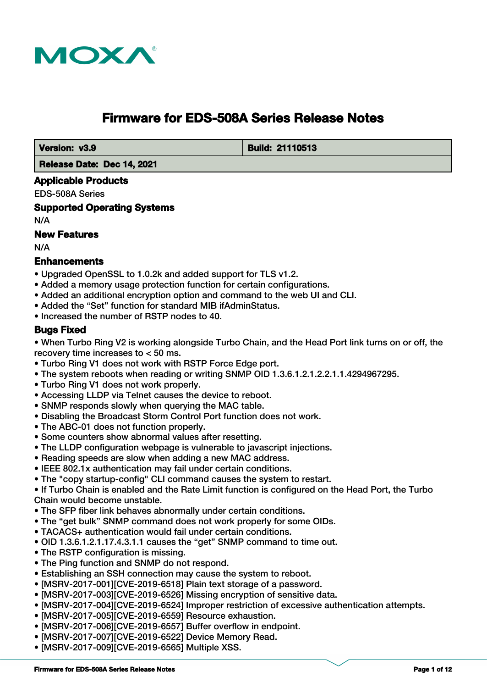

# **Firmware for EDS-508A Series Release Notes**

 **Version: v3.9 Build: 21110513** 

 **Release Date: Dec 14, 2021**

#### **Applicable Products**

EDS-508A Series

**Supported Operating Systems**

N/A

## **New Features**

N/A

#### **Enhancements**

- Upgraded OpenSSL to 1.0.2k and added support for TLS v1.2.
- Added a memory usage protection function for certain configurations.
- Added an additional encryption option and command to the web UI and CLI.
- Added the "Set" function for standard MIB ifAdminStatus.
- Increased the number of RSTP nodes to 40.

#### **Bugs Fixed**

• When Turbo Ring V2 is working alongside Turbo Chain, and the Head Port link turns on or off, the recovery time increases to < 50 ms.

- Turbo Ring V1 does not work with RSTP Force Edge port.
- The system reboots when reading or writing SNMP OID 1.3.6.1.2.1.2.2.1.1.4294967295.
- Turbo Ring V1 does not work properly.
- Accessing LLDP via Telnet causes the device to reboot.
- SNMP responds slowly when querying the MAC table.
- Disabling the Broadcast Storm Control Port function does not work.
- The ABC-01 does not function properly.
- Some counters show abnormal values after resetting.
- The LLDP configuration webpage is vulnerable to javascript injections.
- Reading speeds are slow when adding a new MAC address.
- IEEE 802.1x authentication may fail under certain conditions.
- The "copy startup-config" CLI command causes the system to restart.

• If Turbo Chain is enabled and the Rate Limit function is configured on the Head Port, the Turbo Chain would become unstable.

- The SFP fiber link behaves abnormally under certain conditions.
- The "get bulk" SNMP command does not work properly for some OIDs.
- TACACS+ authentication would fail under certain conditions.
- OID 1.3.6.1.2.1.17.4.3.1.1 causes the "get" SNMP command to time out.
- The RSTP configuration is missing.
- The Ping function and SNMP do not respond.
- Establishing an SSH connection may cause the system to reboot.
- [MSRV-2017-001][CVE-2019-6518] Plain text storage of a password.
- [MSRV-2017-003][CVE-2019-6526] Missing encryption of sensitive data.
- [MSRV-2017-004][CVE-2019-6524] Improper restriction of excessive authentication attempts.
- [MSRV-2017-005][CVE-2019-6559] Resource exhaustion.
- [MSRV-2017-006][CVE-2019-6557] Buffer overflow in endpoint.
- [MSRV-2017-007][CVE-2019-6522] Device Memory Read.
- [MSRV-2017-009][CVE-2019-6565] Multiple XSS.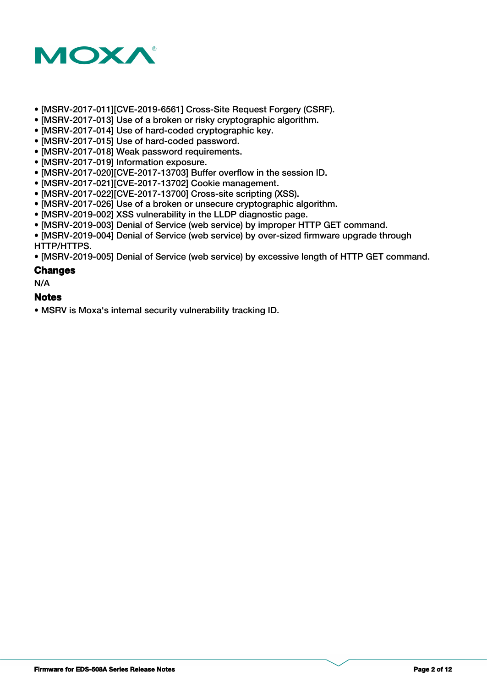

- [MSRV-2017-011][CVE-2019-6561] Cross-Site Request Forgery (CSRF).
- [MSRV-2017-013] Use of a broken or risky cryptographic algorithm.
- [MSRV-2017-014] Use of hard-coded cryptographic key.
- [MSRV-2017-015] Use of hard-coded password.
- [MSRV-2017-018] Weak password requirements.
- [MSRV-2017-019] Information exposure.
- [MSRV-2017-020][CVE-2017-13703] Buffer overflow in the session ID.
- [MSRV-2017-021][CVE-2017-13702] Cookie management.
- [MSRV-2017-022][CVE-2017-13700] Cross-site scripting (XSS).
- [MSRV-2017-026] Use of a broken or unsecure cryptographic algorithm.
- [MSRV-2019-002] XSS vulnerability in the LLDP diagnostic page.
- [MSRV-2019-003] Denial of Service (web service) by improper HTTP GET command.
- [MSRV-2019-004] Denial of Service (web service) by over-sized firmware upgrade through HTTP/HTTPS.

• [MSRV-2019-005] Denial of Service (web service) by excessive length of HTTP GET command.

#### **Changes**

N/A

#### **Notes**

• MSRV is Moxa's internal security vulnerability tracking ID.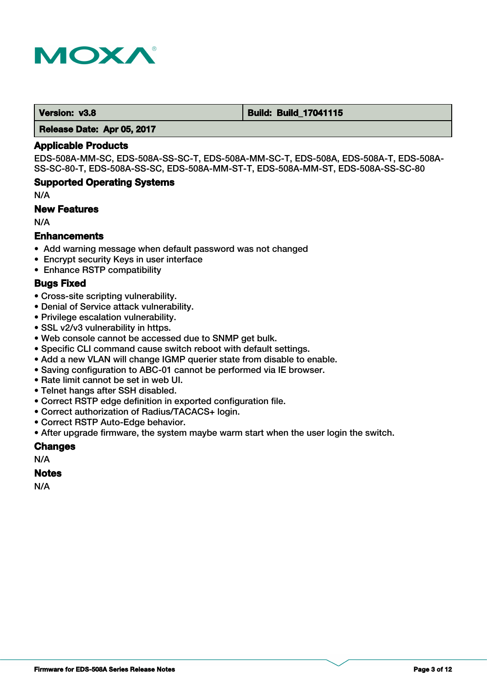

 **Version: v3.8 Build: Build: Build: Build: 17041115** 

 **Release Date: Apr 05, 2017**

#### **Applicable Products**

EDS-508A-MM-SC, EDS-508A-SS-SC-T, EDS-508A-MM-SC-T, EDS-508A, EDS-508A-T, EDS-508A-SS-SC-80-T, EDS-508A-SS-SC, EDS-508A-MM-ST-T, EDS-508A-MM-ST, EDS-508A-SS-SC-80

#### **Supported Operating Systems**

N/A

#### **New Features**

N/A

#### **Enhancements**

- Add warning message when default password was not changed
- Encrypt security Keys in user interface
- Enhance RSTP compatibility

#### **Bugs Fixed**

- Cross-site scripting vulnerability.
- Denial of Service attack vulnerability.
- Privilege escalation vulnerability.
- SSL v2/v3 vulnerability in https.
- Web console cannot be accessed due to SNMP get bulk.
- Specific CLI command cause switch reboot with default settings.
- Add a new VLAN will change IGMP querier state from disable to enable.
- Saving configuration to ABC-01 cannot be performed via IE browser.
- Rate limit cannot be set in web UI.
- Telnet hangs after SSH disabled.
- Correct RSTP edge definition in exported configuration file.
- Correct authorization of Radius/TACACS+ login.
- Correct RSTP Auto-Edge behavior.
- After upgrade firmware, the system maybe warm start when the user login the switch.

#### **Changes**

N/A

#### **Notes**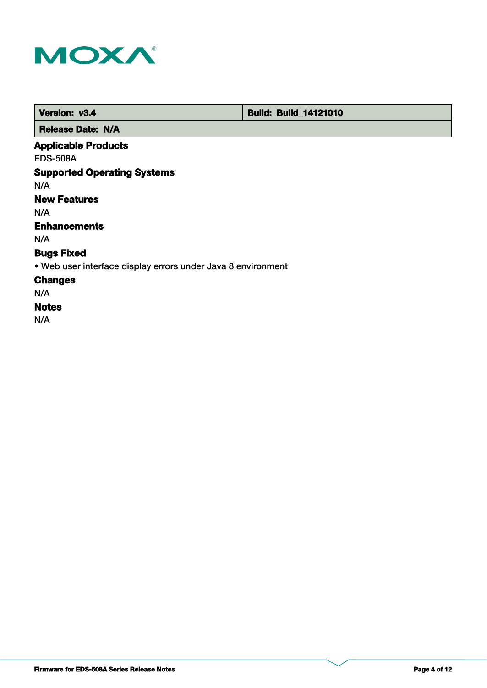

 **Version: v3.4 Build: Build: Build: 14121010** 

 **Release Date: N/A**

## **Applicable Products**

EDS-508A

## **Supported Operating Systems**

N/A

## **New Features**

N/A

## **Enhancements**

N/A

## **Bugs Fixed**

• Web user interface display errors under Java 8 environment

#### **Changes**

N/A

### **Notes**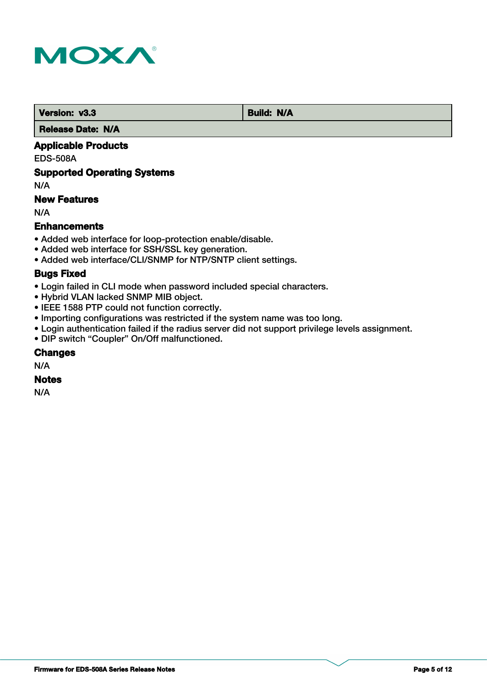

**Version: v3.3 Build: N/A** 

 **Release Date: N/A**

### **Applicable Products**

EDS-508A

#### **Supported Operating Systems**

N/A

### **New Features**

N/A

### **Enhancements**

- Added web interface for loop-protection enable/disable.
- Added web interface for SSH/SSL key generation.
- Added web interface/CLI/SNMP for NTP/SNTP client settings.

#### **Bugs Fixed**

- Login failed in CLI mode when password included special characters.
- Hybrid VLAN lacked SNMP MIB object.
- IEEE 1588 PTP could not function correctly.
- Importing configurations was restricted if the system name was too long.
- Login authentication failed if the radius server did not support privilege levels assignment.
- DIP switch "Coupler" On/Off malfunctioned.

### **Changes**

N/A

## **Notes**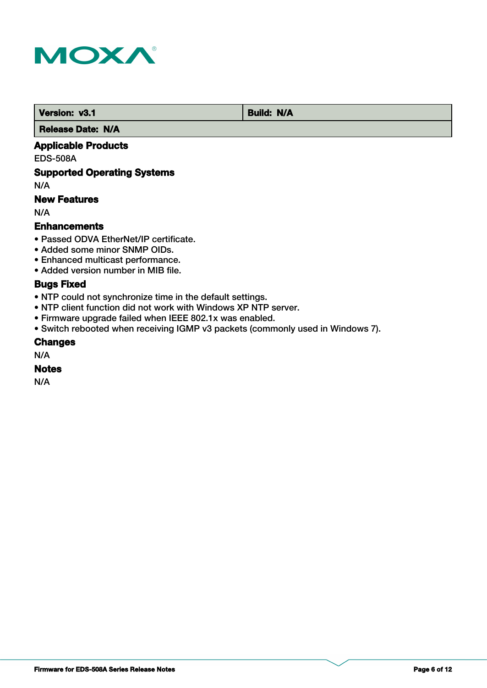

 **Version: v3.1 Build: N/A** 

 **Release Date: N/A**

### **Applicable Products**

EDS-508A

### **Supported Operating Systems**

N/A

### **New Features**

N/A

#### **Enhancements**

- Passed ODVA EtherNet/IP certificate.
- Added some minor SNMP OIDs.
- Enhanced multicast performance.
- Added version number in MIB file.

## **Bugs Fixed**

- NTP could not synchronize time in the default settings.
- NTP client function did not work with Windows XP NTP server.
- Firmware upgrade failed when IEEE 802.1x was enabled.
- Switch rebooted when receiving IGMP v3 packets (commonly used in Windows 7).

#### **Changes**

N/A

#### **Notes**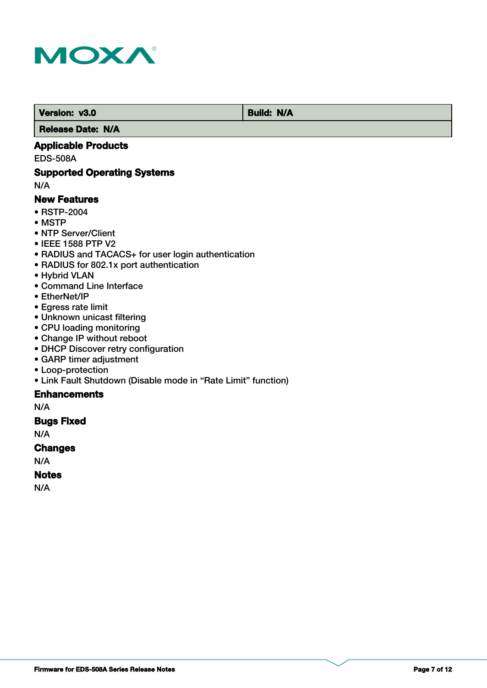

 **Version: v3.0 Build: N/A** 

 **Release Date: N/A**

### **Applicable Products**

EDS-508A

#### **Supported Operating Systems**

N/A

#### **New Features**

- RSTP-2004
- MSTP
- NTP Server/Client
- IEEE 1588 PTP V2
- RADIUS and TACACS+ for user login authentication
- RADIUS for 802.1x port authentication
- Hybrid VLAN
- Command Line Interface
- EtherNet/IP
- Egress rate limit
- Unknown unicast filtering
- CPU loading monitoring
- Change IP without reboot
- DHCP Discover retry configuration
- GARP timer adjustment
- Loop-protection
- Link Fault Shutdown (Disable mode in "Rate Limit" function)

### **Enhancements**

N/A

### **Bugs Fixed**

N/A

#### **Changes**

N/A

### **Notes**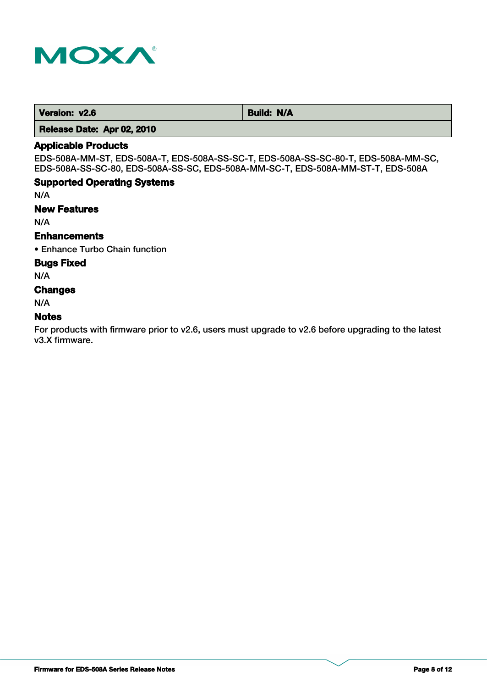

**Version: v2.6** Build: N/A

 **Release Date: Apr 02, 2010**

#### **Applicable Products**

EDS-508A-MM-ST, EDS-508A-T, EDS-508A-SS-SC-T, EDS-508A-SS-SC-80-T, EDS-508A-MM-SC, EDS-508A-SS-SC-80, EDS-508A-SS-SC, EDS-508A-MM-SC-T, EDS-508A-MM-ST-T, EDS-508A

### **Supported Operating Systems**

N/A

#### **New Features**

N/A

## **Enhancements**

• Enhance Turbo Chain function

#### **Bugs Fixed**

N/A

#### **Changes**

N/A

#### **Notes**

For products with firmware prior to v2.6, users must upgrade to v2.6 before upgrading to the latest v3.X firmware.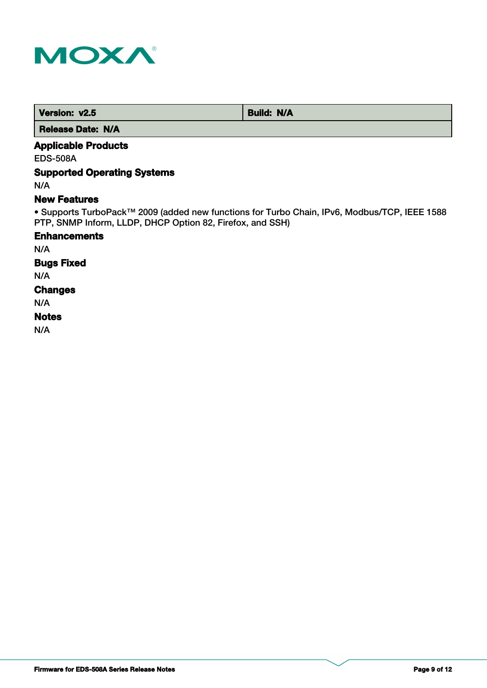

 **Version: v2.5 Build: N/A** 

 **Release Date: N/A**

## **Applicable Products**

EDS-508A

## **Supported Operating Systems**

N/A

#### **New Features**

• Supports TurboPack™ 2009 (added new functions for Turbo Chain, IPv6, Modbus/TCP, IEEE 1588 PTP, SNMP Inform, LLDP, DHCP Option 82, Firefox, and SSH)

#### **Enhancements**

N/A

## **Bugs Fixed**

N/A

#### **Changes**

N/A

#### **Notes**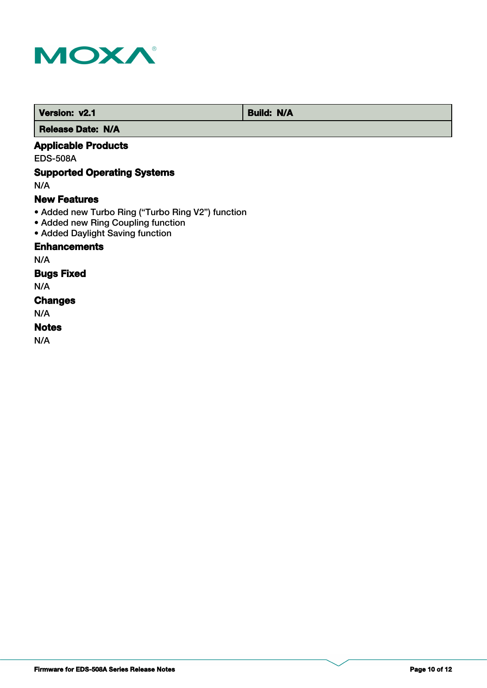

 **Version: v2.1 Build: N/A** 

 **Release Date: N/A**

## **Applicable Products**

EDS-508A

## **Supported Operating Systems**

N/A

#### **New Features**

- Added new Turbo Ring ("Turbo Ring V2") function
- Added new Ring Coupling function
- Added Daylight Saving function

### **Enhancements**

N/A

#### **Bugs Fixed**

N/A

## **Changes**

N/A

## **Notes**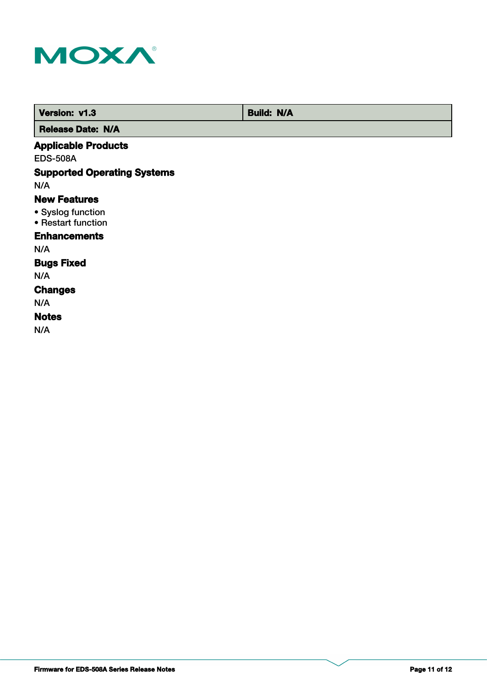

 **Version: v1.3 Build: N/A Release Date: N/A**

### **Applicable Products**

EDS-508A

## **Supported Operating Systems**

N/A

#### **New Features**

- Syslog function
- Restart function

## **Enhancements**

N/A

## **Bugs Fixed**

N/A

#### **Changes**

N/A

#### **Notes**